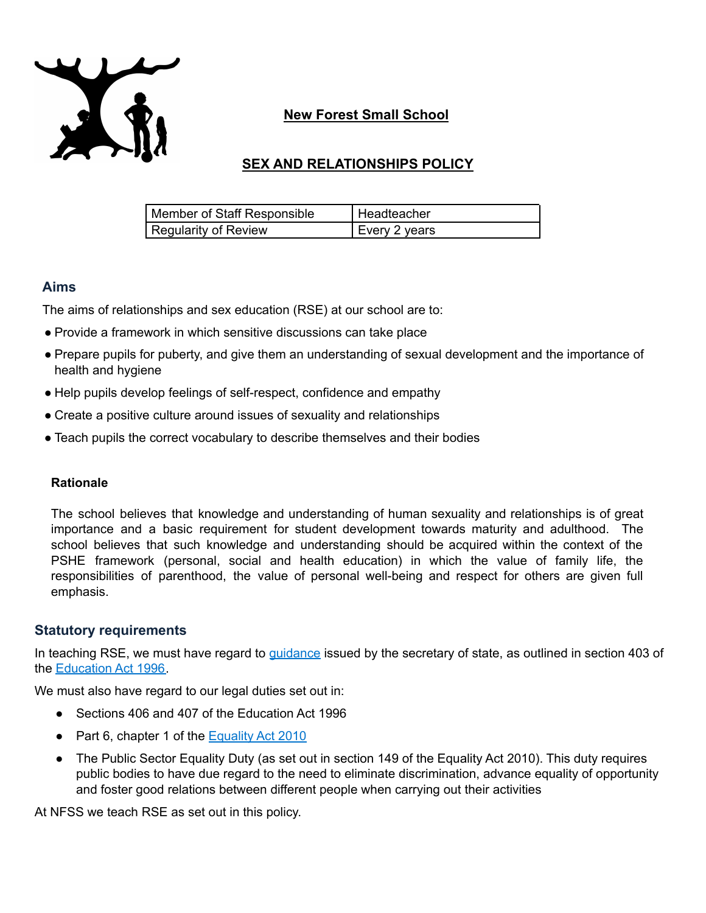

## **New Forest Small School**

# **SEX AND RELATIONSHIPS POLICY**

| Member of Staff Responsible | Headteacher   |
|-----------------------------|---------------|
| Regularity of Review        | Every 2 years |

### **Aims**

The aims of relationships and sex education (RSE) at our school are to:

- Provide a framework in which sensitive discussions can take place
- Prepare pupils for puberty, and give them an understanding of sexual development and the importance of health and hygiene
- Help pupils develop feelings of self-respect, confidence and empathy
- Create a positive culture around issues of sexuality and relationships
- Teach pupils the correct vocabulary to describe themselves and their bodies

#### **Rationale**

The school believes that knowledge and understanding of human sexuality and relationships is of great importance and a basic requirement for student development towards maturity and adulthood. The school believes that such knowledge and understanding should be acquired within the context of the PSHE framework (personal, social and health education) in which the value of family life, the responsibilities of parenthood, the value of personal well-being and respect for others are given full emphasis.

### **Statutory requirements**

In teaching RSE, we must have regard to *[guidance](https://www.gov.uk/government/publications/relationships-education-relationships-and-sex-education-rse-and-health-education)* issued by the secretary of state, as outlined in section 403 of the [Education](http://www.legislation.gov.uk/ukpga/1996/56/contents) Act 1996.

We must also have regard to our legal duties set out in:

- Sections 406 and 407 of the Education Act 1996
- Part 6, chapter 1 of the [Equality](https://www.legislation.gov.uk/ukpga/2010/15/contents) Act 2010
- The Public Sector Equality Duty (as set out in section 149 of the Equality Act 2010). This duty requires public bodies to have due regard to the need to eliminate discrimination, advance equality of opportunity and foster good relations between different people when carrying out their activities

At NFSS we teach RSE as set out in this policy.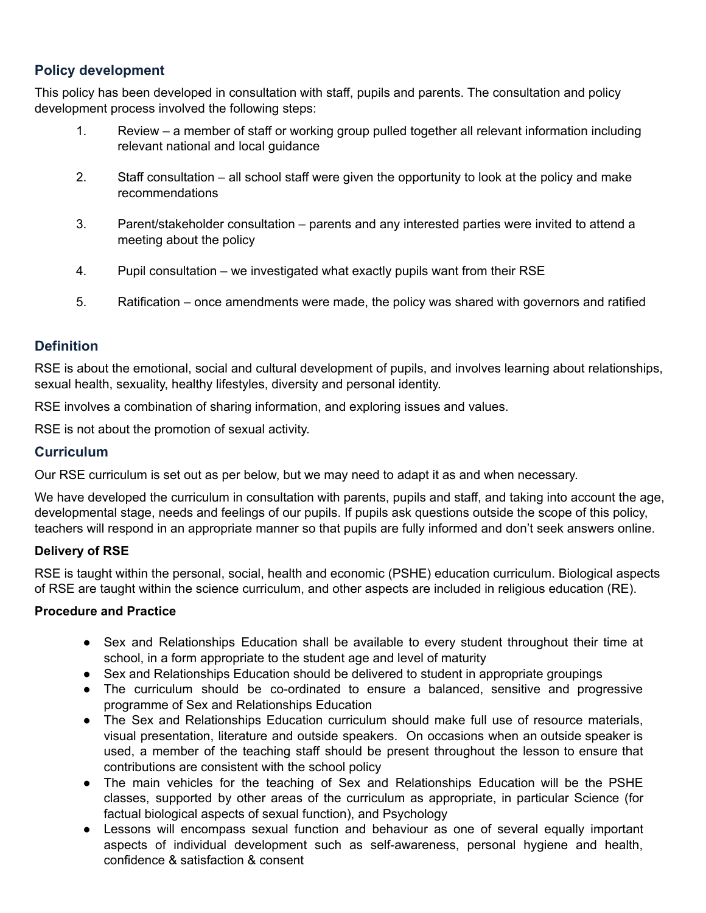## **Policy development**

This policy has been developed in consultation with staff, pupils and parents. The consultation and policy development process involved the following steps:

- 1. Review a member of staff or working group pulled together all relevant information including relevant national and local guidance
- 2. Staff consultation all school staff were given the opportunity to look at the policy and make recommendations
- 3. Parent/stakeholder consultation parents and any interested parties were invited to attend a meeting about the policy
- 4. Pupil consultation we investigated what exactly pupils want from their RSE
- 5. Ratification once amendments were made, the policy was shared with governors and ratified

### **Definition**

RSE is about the emotional, social and cultural development of pupils, and involves learning about relationships, sexual health, sexuality, healthy lifestyles, diversity and personal identity.

RSE involves a combination of sharing information, and exploring issues and values.

RSE is not about the promotion of sexual activity.

#### **Curriculum**

Our RSE curriculum is set out as per below, but we may need to adapt it as and when necessary.

We have developed the curriculum in consultation with parents, pupils and staff, and taking into account the age, developmental stage, needs and feelings of our pupils. If pupils ask questions outside the scope of this policy, teachers will respond in an appropriate manner so that pupils are fully informed and don't seek answers online.

#### **Delivery of RSE**

RSE is taught within the personal, social, health and economic (PSHE) education curriculum. Biological aspects of RSE are taught within the science curriculum, and other aspects are included in religious education (RE).

#### **Procedure and Practice**

- Sex and Relationships Education shall be available to every student throughout their time at school, in a form appropriate to the student age and level of maturity
- Sex and Relationships Education should be delivered to student in appropriate groupings
- The curriculum should be co-ordinated to ensure a balanced, sensitive and progressive programme of Sex and Relationships Education
- The Sex and Relationships Education curriculum should make full use of resource materials, visual presentation, literature and outside speakers. On occasions when an outside speaker is used, a member of the teaching staff should be present throughout the lesson to ensure that contributions are consistent with the school policy
- The main vehicles for the teaching of Sex and Relationships Education will be the PSHE classes, supported by other areas of the curriculum as appropriate, in particular Science (for factual biological aspects of sexual function), and Psychology
- Lessons will encompass sexual function and behaviour as one of several equally important aspects of individual development such as self-awareness, personal hygiene and health, confidence & satisfaction & consent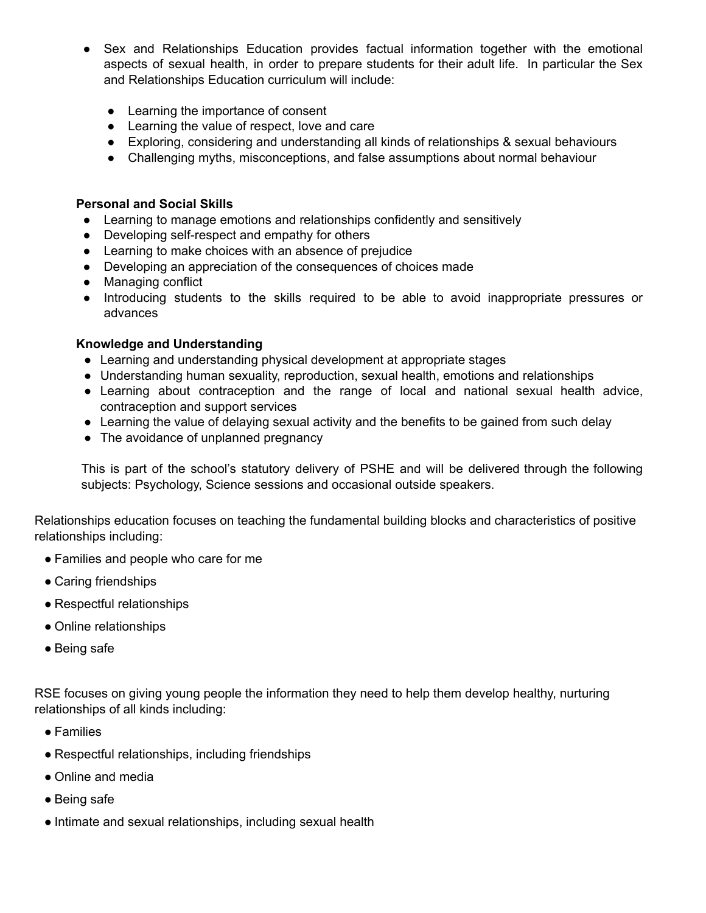- Sex and Relationships Education provides factual information together with the emotional aspects of sexual health, in order to prepare students for their adult life. In particular the Sex and Relationships Education curriculum will include:
	- Learning the importance of consent
	- Learning the value of respect, love and care
	- Exploring, considering and understanding all kinds of relationships & sexual behaviours
	- Challenging myths, misconceptions, and false assumptions about normal behaviour

#### **Personal and Social Skills**

- Learning to manage emotions and relationships confidently and sensitively
- Developing self-respect and empathy for others
- Learning to make choices with an absence of prejudice
- Developing an appreciation of the consequences of choices made
- Managing conflict
- Introducing students to the skills required to be able to avoid inappropriate pressures or advances

#### **Knowledge and Understanding**

- Learning and understanding physical development at appropriate stages
- Understanding human sexuality, reproduction, sexual health, emotions and relationships
- Learning about contraception and the range of local and national sexual health advice, contraception and support services
- Learning the value of delaying sexual activity and the benefits to be gained from such delay
- The avoidance of unplanned pregnancy

This is part of the school's statutory delivery of PSHE and will be delivered through the following subjects: Psychology, Science sessions and occasional outside speakers.

Relationships education focuses on teaching the fundamental building blocks and characteristics of positive relationships including:

- Families and people who care for me
- Caring friendships
- Respectful relationships
- Online relationships
- Being safe

RSE focuses on giving young people the information they need to help them develop healthy, nurturing relationships of all kinds including:

- Families
- Respectful relationships, including friendships
- Online and media
- Being safe
- Intimate and sexual relationships, including sexual health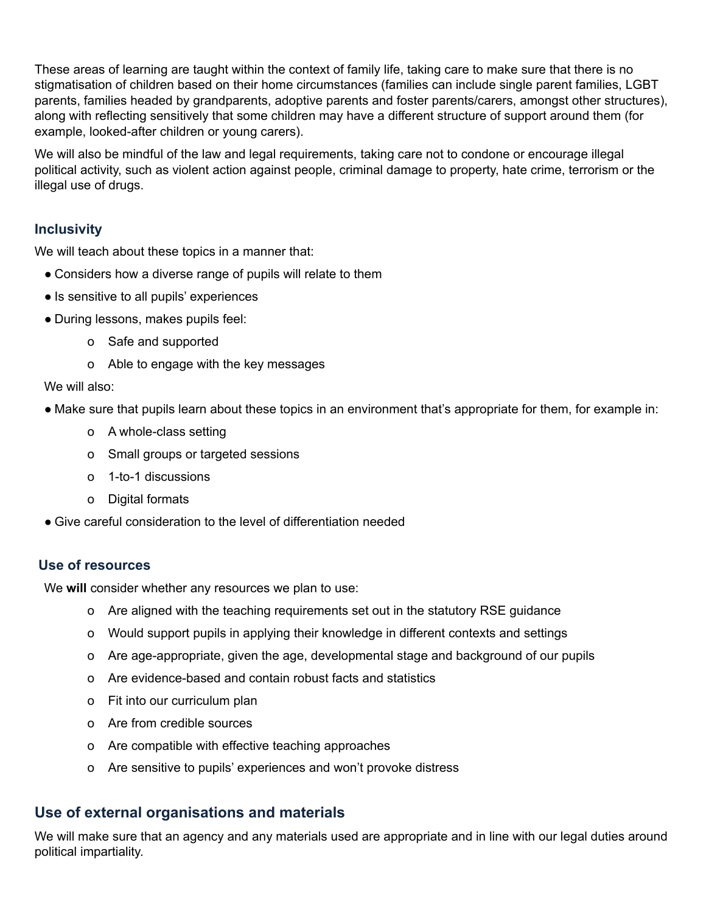These areas of learning are taught within the context of family life, taking care to make sure that there is no stigmatisation of children based on their home circumstances (families can include single parent families, LGBT parents, families headed by grandparents, adoptive parents and foster parents/carers, amongst other structures), along with reflecting sensitively that some children may have a different structure of support around them (for example, looked-after children or young carers).

We will also be mindful of the law and legal requirements, taking care not to condone or encourage illegal political activity, such as violent action against people, criminal damage to property, hate crime, terrorism or the illegal use of drugs.

### **Inclusivity**

We will teach about these topics in a manner that:

- Considers how a diverse range of pupils will relate to them
- Is sensitive to all pupils' experiences
- During lessons, makes pupils feel:
	- o Safe and supported
	- o Able to engage with the key messages

#### We will also:

- Make sure that pupils learn about these topics in an environment that's appropriate for them, for example in:
	- o A whole-class setting
	- o Small groups or targeted sessions
	- o 1-to-1 discussions
	- o Digital formats
- Give careful consideration to the level of differentiation needed

#### **Use of resources**

We **will** consider whether any resources we plan to use:

- o Are aligned with the teaching requirements set out in the statutory RSE guidance
- o Would support pupils in applying their knowledge in different contexts and settings
- o Are age-appropriate, given the age, developmental stage and background of our pupils
- o Are evidence-based and contain robust facts and statistics
- o Fit into our curriculum plan
- o Are from credible sources
- o Are compatible with effective teaching approaches
- o Are sensitive to pupils' experiences and won't provoke distress

### **Use of external organisations and materials**

We will make sure that an agency and any materials used are appropriate and in line with our legal duties around political impartiality.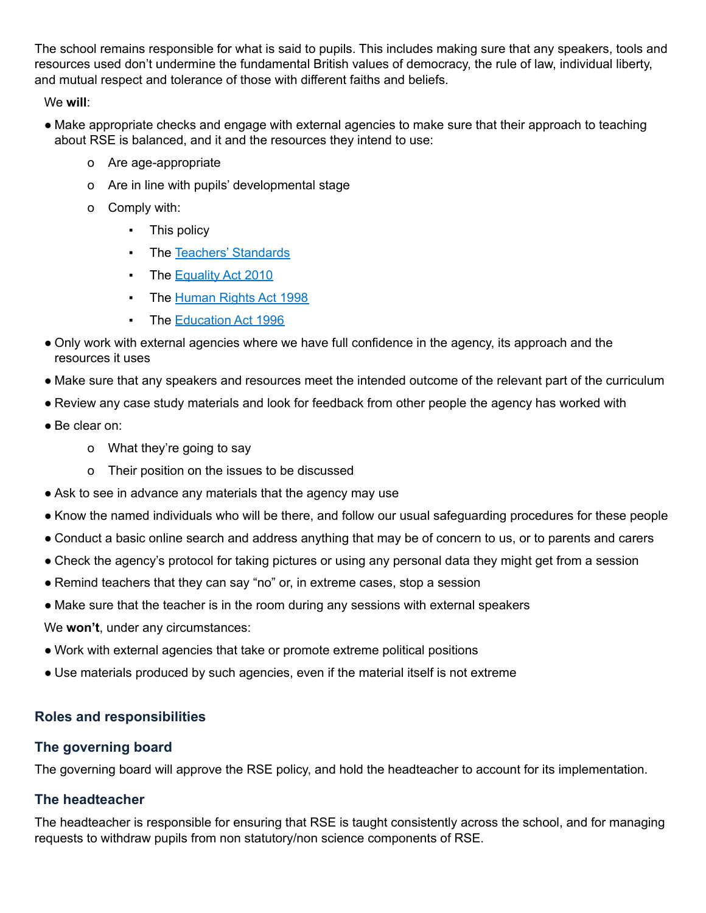The school remains responsible for what is said to pupils. This includes making sure that any speakers, tools and resources used don't undermine the fundamental British values of democracy, the rule of law, individual liberty, and mutual respect and tolerance of those with different faiths and beliefs.

We **will**:

- Make appropriate checks and engage with external agencies to make sure that their approach to teaching about RSE is balanced, and it and the resources they intend to use:
	- o Are age-appropriate
	- o Are in line with pupils' developmental stage
	- o Comply with:
		- This policy
		- The Teachers' [Standards](https://www.gov.uk/government/publications/teachers-standards)
		- **The [Equality](https://www.legislation.gov.uk/ukpga/2010/15/contents) Act 2010**
		- **The [Human](https://www.legislation.gov.uk/ukpga/1998/42/contents) Rights Act 1998**
		- The [Education](https://www.legislation.gov.uk/ukpga/1996/56/contents) Act 1996
- Only work with external agencies where we have full confidence in the agency, its approach and the resources it uses
- Make sure that any speakers and resources meet the intended outcome of the relevant part of the curriculum
- Review any case study materials and look for feedback from other people the agency has worked with
- Be clear on:
	- o What they're going to say
	- o Their position on the issues to be discussed
- Ask to see in advance any materials that the agency may use
- Know the named individuals who will be there, and follow our usual safeguarding procedures for these people
- Conduct a basic online search and address anything that may be of concern to us, or to parents and carers
- Check the agency's protocol for taking pictures or using any personal data they might get from a session
- Remind teachers that they can say "no" or, in extreme cases, stop a session
- Make sure that the teacher is in the room during any sessions with external speakers
- We **won't**, under any circumstances:
- Work with external agencies that take or promote extreme political positions
- Use materials produced by such agencies, even if the material itself is not extreme

## **Roles and responsibilities**

## **The governing board**

The governing board will approve the RSE policy, and hold the headteacher to account for its implementation.

## **The headteacher**

The headteacher is responsible for ensuring that RSE is taught consistently across the school, and for managing requests to withdraw pupils from non statutory/non science components of RSE.